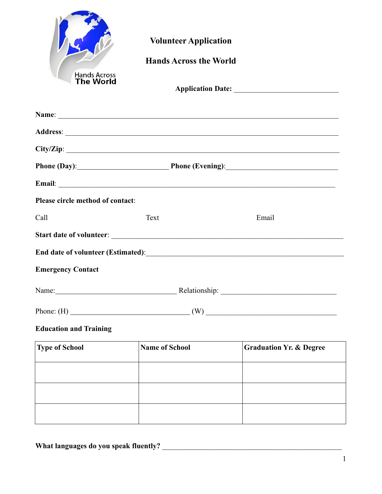| <b>Hands Across</b><br><b>The World</b> | <b>Volunteer Application</b><br><b>Hands Across the World</b>                                                                                                                                                                  |                                    |
|-----------------------------------------|--------------------------------------------------------------------------------------------------------------------------------------------------------------------------------------------------------------------------------|------------------------------------|
|                                         |                                                                                                                                                                                                                                |                                    |
|                                         |                                                                                                                                                                                                                                |                                    |
|                                         |                                                                                                                                                                                                                                |                                    |
|                                         | Phone (Day): Phone (Evening): Phone (Evening):                                                                                                                                                                                 |                                    |
|                                         | Email: No. 1998. The Commission of the Commission of the Commission of the Commission of the Commission of the Commission of the Commission of the Commission of the Commission of the Commission of the Commission of the Com |                                    |
| Please circle method of contact:        |                                                                                                                                                                                                                                |                                    |
| Call                                    | Text                                                                                                                                                                                                                           | Email                              |
|                                         |                                                                                                                                                                                                                                |                                    |
|                                         | End date of volunteer (Estimated):<br><u>End date of volunteer (Estimated):</u>                                                                                                                                                |                                    |
| <b>Emergency Contact</b>                |                                                                                                                                                                                                                                |                                    |
| Name:                                   |                                                                                                                                                                                                                                | Relationship:                      |
|                                         | Phone: (H) $(W)$ (W) $($                                                                                                                                                                                                       |                                    |
| <b>Education and Training</b>           |                                                                                                                                                                                                                                |                                    |
| <b>Type of School</b>                   | <b>Name of School</b>                                                                                                                                                                                                          | <b>Graduation Yr. &amp; Degree</b> |
|                                         |                                                                                                                                                                                                                                |                                    |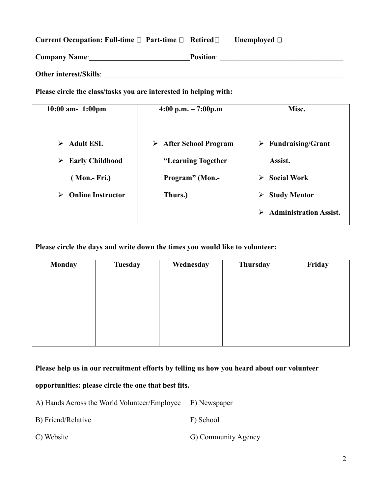## **Current Occupation: Full-time □ Part-time □ Retired□ Unemployed □**

| <b>Company Name:</b>          | <b>Position:</b> |  |
|-------------------------------|------------------|--|
| <b>Other interest/Skills:</b> |                  |  |

**Please circle the class/tasks you are interested in helping with:**

| $10:00$ am- $1:00$ pm         | $4:00 \text{ p.m.} - 7:00 \text{ p.m.}$ | Misc.                              |
|-------------------------------|-----------------------------------------|------------------------------------|
|                               |                                         |                                    |
| <b>Adult ESL</b><br>➤         | <b>After School Program</b><br>➤        | $\triangleright$ Fundraising/Grant |
| <b>Early Childhood</b><br>➤   | "Learning Together                      | Assist.                            |
| (Mon.- Fri.)                  | <b>Program</b> " (Mon.-                 | <b>Social Work</b><br>➤            |
| <b>Online Instructor</b><br>➤ | Thurs.)                                 | <b>Study Mentor</b><br>➤           |
|                               |                                         | <b>Administration Assist.</b><br>➤ |

**Please circle the days and write down the times you would like to volunteer:**

| <b>Monday</b> | <b>Tuesday</b> | Wednesday | Thursday | Friday |
|---------------|----------------|-----------|----------|--------|
|               |                |           |          |        |
|               |                |           |          |        |
|               |                |           |          |        |
|               |                |           |          |        |
|               |                |           |          |        |
|               |                |           |          |        |

**Please help us in our recruitment efforts by telling us how you heard about our volunteer** 

## **opportunities: please circle the one that best fits.**

A) Hands Across the World Volunteer/Employee E) Newspaper

- B) Friend/Relative F) School
- C) Website G) Community Agency